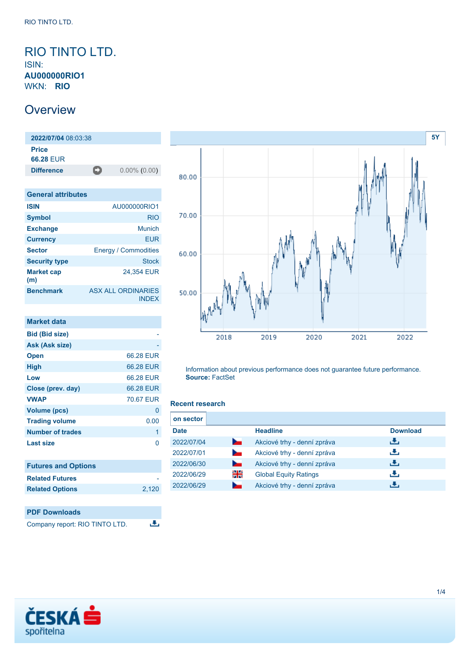## <span id="page-0-0"></span>RIO TINTO LTD. ISIN: **AU000000RIO1** WKN: **RIO**

## **Overview**

**2022/07/04** 08:03:38 **Price 66.28** EUR **Difference** 0.00% (0.00)

| <b>General attributes</b> |                                           |
|---------------------------|-------------------------------------------|
| <b>ISIN</b>               | AU000000RIO1                              |
| <b>Symbol</b>             | <b>RIO</b>                                |
| <b>Exchange</b>           | Munich                                    |
| <b>Currency</b>           | FUR                                       |
| <b>Sector</b>             | <b>Energy / Commodities</b>               |
| <b>Security type</b>      | <b>Stock</b>                              |
| <b>Market cap</b><br>(m)  | 24.354 EUR                                |
| <b>Benchmark</b>          | <b>ASX ALL ORDINARIES</b><br><b>INDEX</b> |

| <b>Market data</b>         |           |
|----------------------------|-----------|
| <b>Bid (Bid size)</b>      |           |
| Ask (Ask size)             |           |
| <b>Open</b>                | 66.28 EUR |
| <b>High</b>                | 66.28 EUR |
| Low                        | 66.28 EUR |
| Close (prev. day)          | 66.28 EUR |
| <b>VWAP</b>                | 70.67 FUR |
| Volume (pcs)               | 0         |
| <b>Trading volume</b>      | 0.00      |
| <b>Number of trades</b>    | 1         |
| <b>Last size</b>           | O         |
|                            |           |
| <b>Futures and Options</b> |           |
| <b>Related Futures</b>     |           |



**Related Options** [2,120](https://cz.products.erstegroup.com/Retail/en/Dispatcher/SearchDispatcher/Market/option/index.phtml?ID_INSTRUMENT_CLASS_OPTION=53949979,154760755)



Information about previous performance does not guarantee future performance. **Source:** FactSet

#### **Recent research**

| on sector   |                    |                              |                 |
|-------------|--------------------|------------------------------|-----------------|
| <b>Date</b> |                    | <b>Headline</b>              | <b>Download</b> |
| 2022/07/04  | h.                 | Akciové trhy - denní zpráva  | رنان            |
| 2022/07/01  | <b>Service</b>     | Akciové trhy - denní zpráva  | رنان            |
| 2022/06/30  | <b>Participate</b> | Akciové trhy - denní zpráva  | رنان            |
| 2022/06/29  | 쯺                  | <b>Global Equity Ratings</b> | رنان            |
| 2022/06/29  |                    | Akciové trhy - denní zpráva  | æ,              |

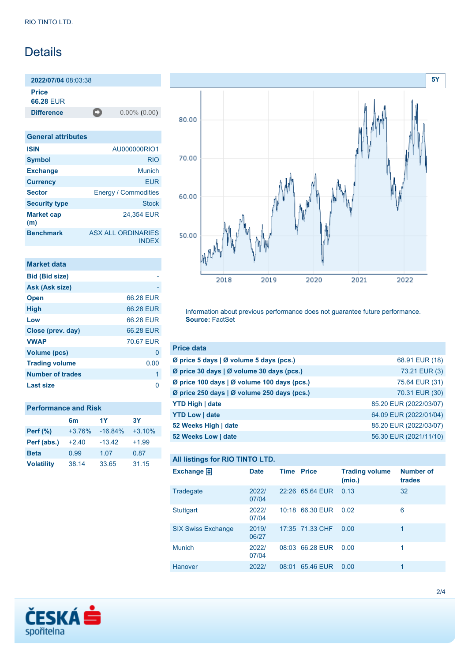# Details

**2022/07/04** 08:03:38 **Price**

**66.28** EUR

**Difference** 0.00% (0.00)

| <b>General attributes</b> |                                           |
|---------------------------|-------------------------------------------|
| <b>ISIN</b>               | AU000000RIO1                              |
| <b>Symbol</b>             | <b>RIO</b>                                |
| <b>Exchange</b>           | Munich                                    |
| <b>Currency</b>           | EUR                                       |
| <b>Sector</b>             | <b>Energy / Commodities</b>               |
| <b>Security type</b>      | <b>Stock</b>                              |
| <b>Market cap</b><br>(m)  | 24.354 EUR                                |
| <b>Benchmark</b>          | <b>ASX ALL ORDINARIES</b><br><b>INDEX</b> |

| Market data             |           |
|-------------------------|-----------|
| <b>Bid (Bid size)</b>   |           |
| Ask (Ask size)          |           |
| <b>Open</b>             | 66.28 EUR |
| <b>High</b>             | 66.28 EUR |
| Low                     | 66.28 EUR |
| Close (prev. day)       | 66.28 EUR |
| <b>VWAP</b>             | 70.67 EUR |
| Volume (pcs)            | 0         |
| <b>Trading volume</b>   | 0.00      |
| <b>Number of trades</b> | 1         |
| Last size               |           |

| <b>Performance and Risk</b> |          |           |           |  |
|-----------------------------|----------|-----------|-----------|--|
|                             | 6m       | 1Y        | <b>3Y</b> |  |
| <b>Perf (%)</b>             | $+3.76%$ | $-16.84%$ | $+3.10%$  |  |
| Perf (abs.)                 | $+240$   | $-13.42$  | $+1.99$   |  |
| <b>Beta</b>                 | 0.99     | 1.07      | 0.87      |  |
| <b>Volatility</b>           | 38.14    | 33.65     | 31.15     |  |



Information about previous performance does not guarantee future performance. **Source:** FactSet

| <b>Price data</b>                           |                        |
|---------------------------------------------|------------------------|
| Ø price 5 days   Ø volume 5 days (pcs.)     | 68.91 EUR (18)         |
| Ø price 30 days   Ø volume 30 days (pcs.)   | 73.21 EUR (3)          |
| Ø price 100 days   Ø volume 100 days (pcs.) | 75.64 EUR (31)         |
| Ø price 250 days   Ø volume 250 days (pcs.) | 70.31 EUR (30)         |
| <b>YTD High   date</b>                      | 85.20 EUR (2022/03/07) |
| <b>YTD Low   date</b>                       | 64.09 EUR (2022/01/04) |
| 52 Weeks High   date                        | 85.20 EUR (2022/03/07) |
| 52 Weeks Low   date                         | 56.30 EUR (2021/11/10) |

## **All listings for RIO TINTO LTD.**

| Exchange $\bigoplus$      | <b>Date</b>    | <b>Time Price</b> |                 | <b>Trading volume</b><br>(mio.) | <b>Number of</b><br>trades |
|---------------------------|----------------|-------------------|-----------------|---------------------------------|----------------------------|
| Tradegate                 | 2022/<br>07/04 |                   | 22:26 65.64 EUR | 0.13                            | 32                         |
| Stuttgart                 | 2022/<br>07/04 |                   | 10:18 66.30 EUR | 0.02                            | 6                          |
| <b>SIX Swiss Exchange</b> | 2019/<br>06/27 |                   | 17:35 71.33 CHF | 0.00                            | 1                          |
| <b>Munich</b>             | 2022/<br>07/04 |                   | 08:03 66.28 EUR | 0.00                            |                            |
| Hanover                   | 2022/          | 08:01             | 65.46 EUR       | 0.00                            |                            |

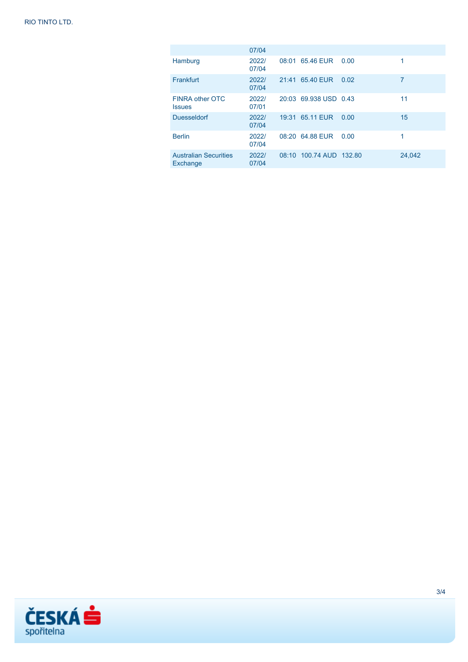|                                          | 07/04          |       |                         |      |        |
|------------------------------------------|----------------|-------|-------------------------|------|--------|
| Hamburg                                  | 2022/<br>07/04 |       | 08:01 65.46 EUR         | 0.00 | 1      |
| Frankfurt                                | 2022/<br>07/04 | 21:41 | 65.40 EUR               | 0.02 | 7      |
| FINRA other OTC<br><b>Issues</b>         | 2022/<br>07/01 |       | 20:03 69.938 USD 0.43   |      | 11     |
| <b>Duesseldorf</b>                       | 2022/<br>07/04 | 19:31 | 65.11 EUR               | 0.00 | 15     |
| <b>Berlin</b>                            | 2022/<br>07/04 |       | 08:20 64.88 EUR         | 0.00 | 1      |
| <b>Australian Securities</b><br>Exchange | 2022/<br>07/04 |       | 08:10 100.74 AUD 132.80 |      | 24,042 |